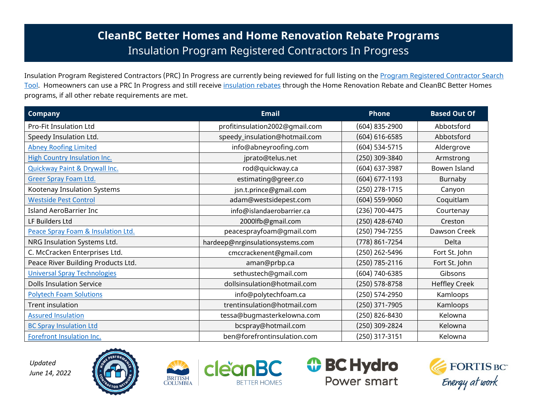## **CleanBC Better Homes and Home Renovation Rebate Programs** Insulation Program Registered Contractors In Progress

Insulation Program Registered Contractors (PRC) In Progress are currently being reviewed for full listing on the Program Registered Contractor Search [Tool.](https://betterhomesbc.ca/prc/) Homeowners can use a PRC In Progress and still receive [insulation rebates](https://betterhomesbc.ca/rebates/insulation-rebates/) through the Home Renovation Rebate and CleanBC Better Homes programs, if all other rebate requirements are met.

| <b>Company</b>                      | <b>Email</b>                     | <b>Phone</b>       | <b>Based Out Of</b>  |
|-------------------------------------|----------------------------------|--------------------|----------------------|
| <b>Pro-Fit Insulation Ltd</b>       | profitinsulation2002@gmail.com   | (604) 835-2900     | Abbotsford           |
| Speedy Insulation Ltd.              | speedy_insulation@hotmail.com    | $(604) 616 - 6585$ | Abbotsford           |
| <b>Abney Roofing Limited</b>        | info@abneyroofing.com            | (604) 534-5715     | Aldergrove           |
| <b>High Country Insulation Inc.</b> | jprato@telus.net                 | (250) 309-3840     | Armstrong            |
| Quickway Paint & Drywall Inc.       | rod@quickway.ca                  | (604) 637-3987     | Bowen Island         |
| <b>Greer Spray Foam Ltd.</b>        | estimating@greer.co              | (604) 677-1193     | Burnaby              |
| Kootenay Insulation Systems         | jsn.t.prince@gmail.com           | (250) 278-1715     | Canyon               |
| <b>Westside Pest Control</b>        | adam@westsidepest.com            | $(604)$ 559-9060   | Coquitlam            |
| <b>Island AeroBarrier Inc</b>       | info@islandaerobarrier.ca        | (236) 700-4475     | Courtenay            |
| LF Builders Ltd                     | 2000lfb@gmail.com                | (250) 428-6740     | Creston              |
| Peace Spray Foam & Insulation Ltd.  | peacesprayfoam@gmail.com         | (250) 794-7255     | Dawson Creek         |
| NRG Insulation Systems Ltd.         | hardeep@nrginsulationsystems.com | (778) 861-7254     | Delta                |
| C. McCracken Enterprises Ltd.       | cmccrackenent@gmail.com          | (250) 262-5496     | Fort St. John        |
| Peace River Building Products Ltd.  | aman@prbp.ca                     | (250) 785-2116     | Fort St. John        |
| <b>Universal Spray Technologies</b> | sethustech@gmail.com             | (604) 740-6385     | Gibsons              |
| <b>Dolls Insulation Service</b>     | dollsinsulation@hotmail.com      | (250) 578-8758     | <b>Heffley Creek</b> |
| <b>Polytech Foam Solutions</b>      | info@polytechfoam.ca             | (250) 574-2950     | Kamloops             |
| Trent insulation                    | trentinsulation@hotmail.com      | (250) 371-7905     | Kamloops             |
| <b>Assured Insulation</b>           | tessa@bugmasterkelowna.com       | (250) 826-8430     | Kelowna              |
| <b>BC Spray Insulation Ltd</b>      | bcspray@hotmail.com              | (250) 309-2824     | Kelowna              |
| Forefront Insulation Inc.           | ben@forefrontinsulation.com      | (250) 317-3151     | Kelowna              |

*Updated June 14, 2022*









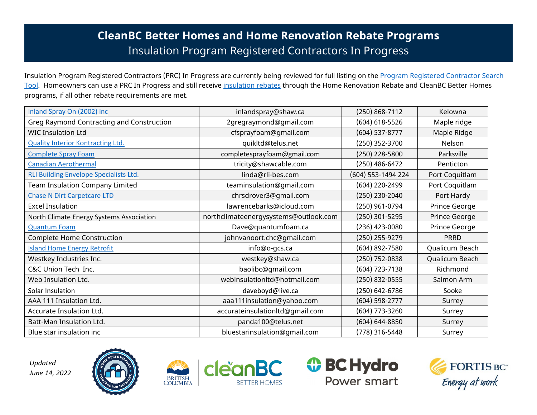## **CleanBC Better Homes and Home Renovation Rebate Programs** Insulation Program Registered Contractors In Progress

Insulation Program Registered Contractors (PRC) In Progress are currently being reviewed for full listing on the Program Registered Contractor Search [Tool.](https://betterhomesbc.ca/prc/) Homeowners can use a PRC In Progress and still receive [insulation rebates](https://betterhomesbc.ca/rebates/insulation-rebates/) through the Home Renovation Rebate and CleanBC Better Homes programs, if all other rebate requirements are met.

| Inland Spray On (2002) inc                    | inlandspray@shaw.ca                   | $(250)$ 868-7112   | Kelowna        |
|-----------------------------------------------|---------------------------------------|--------------------|----------------|
| Greg Raymond Contracting and Construction     | 2gregraymond@gmail.com                | (604) 618-5526     | Maple ridge    |
| <b>WIC Insulation Ltd</b>                     | cfsprayfoam@gmail.com                 | $(604)$ 537-8777   | Maple Ridge    |
| <b>Quality Interior Kontracting Ltd.</b>      | quikltd@telus.net                     | (250) 352-3700     | Nelson         |
| <b>Complete Spray Foam</b>                    | completesprayfoam@gmail.com           | (250) 228-5800     | Parksville     |
| <b>Canadian Aerothermal</b>                   | tricity@shawcable.com                 | (250) 486-6472     | Penticton      |
| <b>RLI Building Envelope Specialists Ltd.</b> | linda@rli-bes.com                     | (604) 553-1494 224 | Port Coquitlam |
| <b>Team Insulation Company Limited</b>        | teaminsulation@gmail.com              | (604) 220-2499     | Port Coquitlam |
| <b>Chase N Dirt Carpetcare LTD</b>            | chrsdrover3@gmail.com                 | (250) 230-2040     | Port Hardy     |
| <b>Excel Insulation</b>                       | lawrencebarks@icloud.com              | (250) 961-0794     | Prince George  |
| North Climate Energy Systems Association      | northclimateenergysystems@outlook.com | (250) 301-5295     | Prince George  |
| <b>Quantum Foam</b>                           | Dave@quantumfoam.ca                   | (236) 423-0080     | Prince George  |
| Complete Home Construction                    | johnvanoort.chc@gmail.com             | (250) 255-9279     | <b>PRRD</b>    |
| <b>Island Home Energy Retrofit</b>            | info@o-gcs.ca                         | (604) 892-7580     | Qualicum Beach |
| Westkey Industries Inc.                       | westkey@shaw.ca                       | (250) 752-0838     | Qualicum Beach |
| C&C Union Tech Inc.                           | baolibc@gmail.com                     | (604) 723-7138     | Richmond       |
| Web Insulation Ltd.                           | webinsulationltd@hotmail.com          | (250) 832-0555     | Salmon Arm     |
| Solar Insulation                              | daveboyd@live.ca                      | (250) 642-6786     | Sooke          |
| AAA 111 Insulation Ltd.                       | aaa111insulation@yahoo.com            | $(604)$ 598-2777   | Surrey         |
| Accurate Insulation Ltd.                      | accurateinsulationltd@gmail.com       | (604) 773-3260     | Surrey         |
| Batt-Man Insulation Ltd.                      | panda100@telus.net                    | (604) 644-8850     | Surrey         |
| Blue star insulation inc                      | bluestarinsulation@gmail.com          | (778) 316-5448     | Surrey         |

*Updated June 14, 2022*